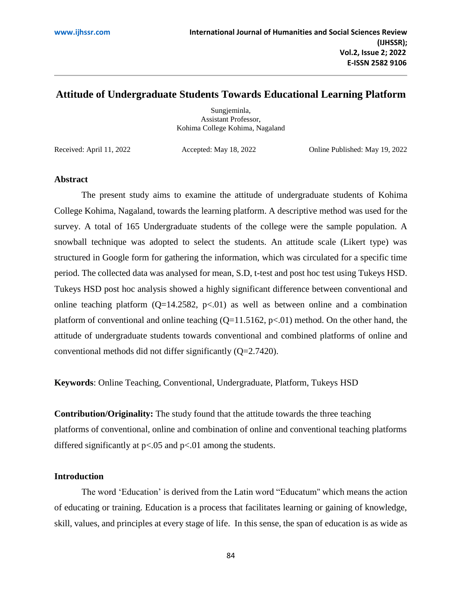# **Attitude of Undergraduate Students Towards Educational Learning Platform**

Sungjeminla, Assistant Professor, Kohima College Kohima, Nagaland

Received: April 11, 2022 Accepted: May 18, 2022 Online Published: May 19, 2022

### **Abstract**

The present study aims to examine the attitude of undergraduate students of Kohima College Kohima, Nagaland, towards the learning platform. A descriptive method was used for the survey. A total of 165 Undergraduate students of the college were the sample population. A snowball technique was adopted to select the students. An attitude scale (Likert type) was structured in Google form for gathering the information, which was circulated for a specific time period. The collected data was analysed for mean, S.D, t-test and post hoc test using Tukeys HSD. Tukeys HSD post hoc analysis showed a highly significant difference between conventional and online teaching platform  $(Q=14.2582, p\le 01)$  as well as between online and a combination platform of conventional and online teaching  $(Q=11.5162, p<0.01)$  method. On the other hand, the attitude of undergraduate students towards conventional and combined platforms of online and conventional methods did not differ significantly (Q=2.7420).

**Keywords**: Online Teaching, Conventional, Undergraduate, Platform, Tukeys HSD

**Contribution/Originality:** The study found that the attitude towards the three teaching platforms of conventional, online and combination of online and conventional teaching platforms differed significantly at  $p<.05$  and  $p<.01$  among the students.

### **Introduction**

The word 'Education' is derived from the Latin word "Educatum'' which means the action of educating or training. Education is a process that facilitates learning or gaining of knowledge, skill, values, and principles at every stage of life. In this sense, the span of education is as wide as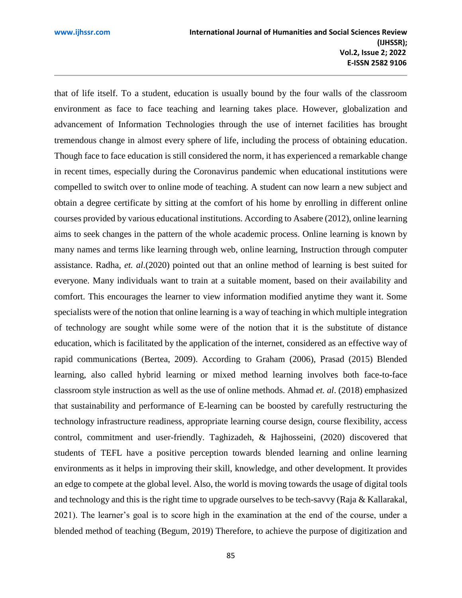that of life itself. To a student, education is usually bound by the four walls of the classroom environment as face to face teaching and learning takes place. However, globalization and advancement of Information Technologies through the use of internet facilities has brought tremendous change in almost every sphere of life, including the process of obtaining education. Though face to face education is still considered the norm, it has experienced a remarkable change in recent times, especially during the Coronavirus pandemic when educational institutions were compelled to switch over to online mode of teaching. A student can now learn a new subject and obtain a degree certificate by sitting at the comfort of his home by enrolling in different online courses provided by various educational institutions. According to Asabere (2012), online learning aims to seek changes in the pattern of the whole academic process. Online learning is known by many names and terms like learning through web, online learning, Instruction through computer assistance. Radha*, et. al*.(2020) pointed out that an online method of learning is best suited for everyone. Many individuals want to train at a suitable moment, based on their availability and comfort. This encourages the learner to view information modified anytime they want it. Some specialists were of the notion that online learning is a way of teaching in which multiple integration of technology are sought while some were of the notion that it is the substitute of distance education, which is facilitated by the application of the internet, considered as an effective way of rapid communications (Bertea, 2009). According to Graham (2006), Prasad (2015) Blended learning, also called hybrid learning or mixed method learning involves both face-to-face classroom style instruction as well as the use of online methods. Ahmad *et. al*. (2018) emphasized that sustainability and performance of E-learning can be boosted by carefully restructuring the technology infrastructure readiness, appropriate learning course design, course flexibility, access control, commitment and user-friendly. Taghizadeh, & Hajhosseini, (2020) discovered that students of TEFL have a positive perception towards blended learning and online learning environments as it helps in improving their skill, knowledge, and other development. It provides an edge to compete at the global level. Also, the world is moving towards the usage of digital tools and technology and this is the right time to upgrade ourselves to be tech-savvy (Raja & Kallarakal, 2021). The learner's goal is to score high in the examination at the end of the course, under a blended method of teaching (Begum, 2019) Therefore, to achieve the purpose of digitization and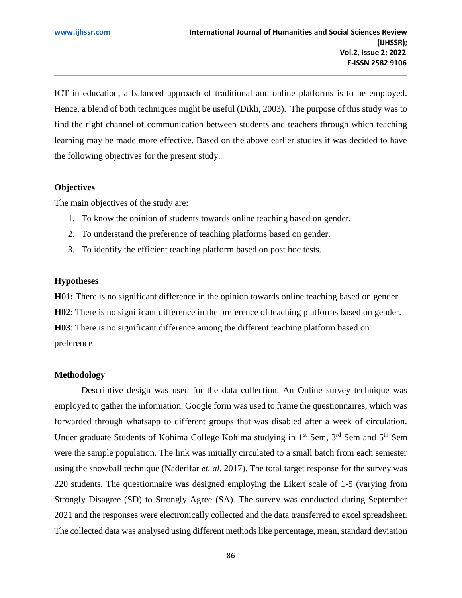ICT in education, a balanced approach of traditional and online platforms is to be employed. Hence, a blend of both techniques might be useful (Dikli, 2003). The purpose of this study was to find the right channel of communication between students and teachers through which teaching learning may be made more effective. Based on the above earlier studies it was decided to have the following objectives for the present study.

## **Objectives**

The main objectives of the study are:

- 1. To know the opinion of students towards online teaching based on gender.
- 2. To understand the preference of teaching platforms based on gender.
- 3. To identify the efficient teaching platform based on post hoc tests.

## **Hypotheses**

**H**01**:** There is no significant difference in the opinion towards online teaching based on gender. **H02**: There is no significant difference in the preference of teaching platforms based on gender. **H03**: There is no significant difference among the different teaching platform based on preference

## **Methodology**

Descriptive design was used for the data collection. An Online survey technique was employed to gather the information. Google form was used to frame the questionnaires, which was forwarded through whatsapp to different groups that was disabled after a week of circulation. Under graduate Students of Kohima College Kohima studying in 1<sup>st</sup> Sem, 3<sup>rd</sup> Sem and 5<sup>th</sup> Sem were the sample population. The link was initially circulated to a small batch from each semester using the snowball technique (Naderifar *et. al.* 2017). The total target response for the survey was 220 students. The questionnaire was designed employing the Likert scale of 1-5 (varying from Strongly Disagree (SD) to Strongly Agree (SA). The survey was conducted during September 2021 and the responses were electronically collected and the data transferred to excel spreadsheet. The collected data was analysed using different methods like percentage, mean, standard deviation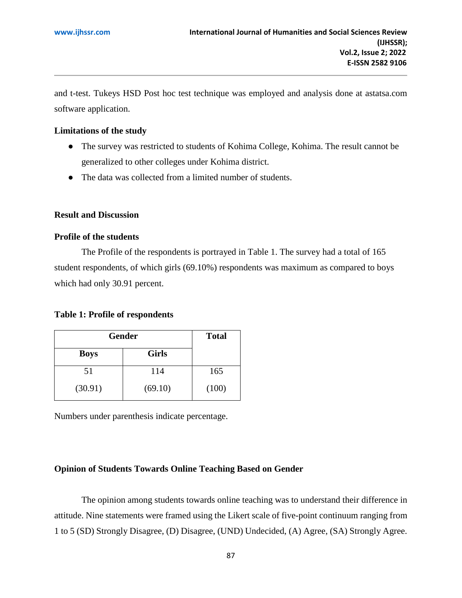and t-test. Tukeys HSD Post hoc test technique was employed and analysis done at astatsa.com software application.

## **Limitations of the study**

- The survey was restricted to students of Kohima College, Kohima. The result cannot be generalized to other colleges under Kohima district.
- The data was collected from a limited number of students.

### **Result and Discussion**

## **Profile of the students**

The Profile of the respondents is portrayed in Table 1. The survey had a total of 165 student respondents, of which girls (69.10%) respondents was maximum as compared to boys which had only 30.91 percent.

### **Table 1: Profile of respondents**

| <b>Gender</b> | <b>Total</b> |       |
|---------------|--------------|-------|
| <b>Boys</b>   | <b>Girls</b> |       |
| 51            | 114          | 165   |
| (30.91)       | (69.10)      | (100) |

Numbers under parenthesis indicate percentage.

### **Opinion of Students Towards Online Teaching Based on Gender**

The opinion among students towards online teaching was to understand their difference in attitude. Nine statements were framed using the Likert scale of five-point continuum ranging from 1 to 5 (SD) Strongly Disagree, (D) Disagree, (UND) Undecided, (A) Agree, (SA) Strongly Agree.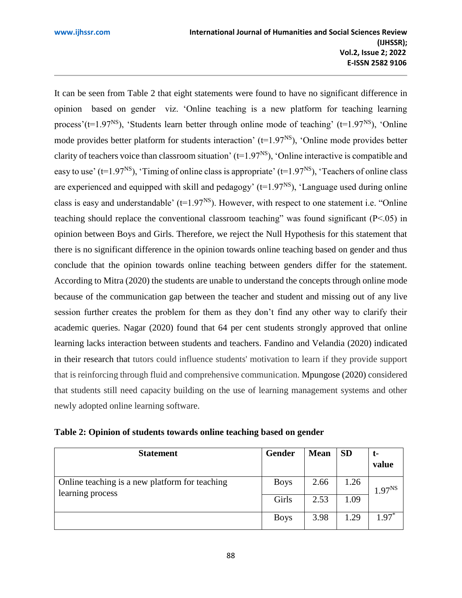It can be seen from Table 2 that eight statements were found to have no significant difference in opinion based on gender viz. 'Online teaching is a new platform for teaching learning process'( $t=1.97<sup>NS</sup>$ ), 'Students learn better through online mode of teaching' ( $t=1.97<sup>NS</sup>$ ), 'Online mode provides better platform for students interaction'  $(t=1.97<sup>NS</sup>)$ , 'Online mode provides better clarity of teachers voice than classroom situation' ( $t=1.97<sup>NS</sup>$ ), 'Online interactive is compatible and easy to use' ( $t=1.97<sup>NS</sup>$ ), 'Timing of online class is appropriate' ( $t=1.97<sup>NS</sup>$ ), 'Teachers of online class are experienced and equipped with skill and pedagogy' ( $t=1.97<sup>NS</sup>$ ), 'Language used during online class is easy and understandable' ( $t=1.97<sup>NS</sup>$ ). However, with respect to one statement i.e. "Online" teaching should replace the conventional classroom teaching" was found significant (P<.05) in opinion between Boys and Girls. Therefore, we reject the Null Hypothesis for this statement that there is no significant difference in the opinion towards online teaching based on gender and thus conclude that the opinion towards online teaching between genders differ for the statement. According to Mitra (2020) the students are unable to understand the concepts through online mode because of the communication gap between the teacher and student and missing out of any live session further creates the problem for them as they don't find any other way to clarify their academic queries. Nagar (2020) found that 64 per cent students strongly approved that online learning lacks interaction between students and teachers. Fandino and Velandia (2020) indicated in their research that tutors could influence students' motivation to learn if they provide support that is reinforcing through fluid and comprehensive communication. Mpungose (2020) considered that students still need capacity building on the use of learning management systems and other newly adopted online learning software.

| Table 2: Opinion of students towards online teaching based on gender |  |  |  |  |
|----------------------------------------------------------------------|--|--|--|--|
|----------------------------------------------------------------------|--|--|--|--|

| <b>Statement</b>                                                   | Gender      | <b>Mean</b> | <b>SD</b> | t-<br>value |
|--------------------------------------------------------------------|-------------|-------------|-----------|-------------|
| Online teaching is a new platform for teaching<br>learning process | <b>Boys</b> | 2.66        | 1.26      | $1.97^{NS}$ |
|                                                                    | Girls       | 2.53        | 1.09      |             |
|                                                                    | <b>Boys</b> | 3.98        | 1.29      | $1.97*$     |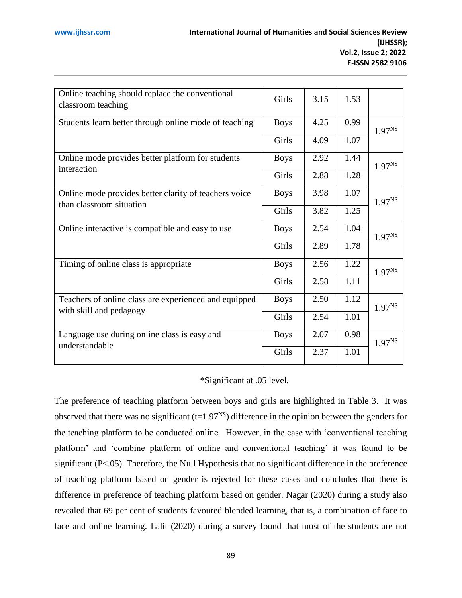| Online teaching should replace the conventional<br>classroom teaching             | Girls       | 3.15 | 1.53 |                    |
|-----------------------------------------------------------------------------------|-------------|------|------|--------------------|
| Students learn better through online mode of teaching                             | <b>Boys</b> | 4.25 | 0.99 | $1.97^{NS}$        |
|                                                                                   | Girls       | 4.09 | 1.07 |                    |
| Online mode provides better platform for students<br>interaction                  | <b>Boys</b> | 2.92 | 1.44 | $1.97^{NS}$        |
|                                                                                   | Girls       | 2.88 | 1.28 |                    |
| Online mode provides better clarity of teachers voice<br>than classroom situation | <b>Boys</b> | 3.98 | 1.07 | 1.97 <sup>NS</sup> |
|                                                                                   | Girls       | 3.82 | 1.25 |                    |
| Online interactive is compatible and easy to use                                  | <b>Boys</b> | 2.54 | 1.04 | 1.97 <sup>NS</sup> |
|                                                                                   | Girls       | 2.89 | 1.78 |                    |
| Timing of online class is appropriate                                             | <b>Boys</b> | 2.56 | 1.22 | 1.97 <sup>NS</sup> |
|                                                                                   | Girls       | 2.58 | 1.11 |                    |
| Teachers of online class are experienced and equipped                             | <b>Boys</b> | 2.50 | 1.12 | $1.97^{NS}$        |
| with skill and pedagogy                                                           | Girls       | 2.54 | 1.01 |                    |
| Language use during online class is easy and<br>understandable                    | <b>Boys</b> | 2.07 | 0.98 | 1.97 <sup>NS</sup> |
|                                                                                   | Girls       | 2.37 | 1.01 |                    |

\*Significant at .05 level.

The preference of teaching platform between boys and girls are highlighted in Table 3. It was observed that there was no significant  $(t=1.97<sup>NS</sup>)$  difference in the opinion between the genders for the teaching platform to be conducted online. However, in the case with 'conventional teaching platform' and 'combine platform of online and conventional teaching' it was found to be significant (P<.05). Therefore, the Null Hypothesis that no significant difference in the preference of teaching platform based on gender is rejected for these cases and concludes that there is difference in preference of teaching platform based on gender. Nagar (2020) during a study also revealed that 69 per cent of students favoured blended learning, that is, a combination of face to face and online learning. Lalit (2020) during a survey found that most of the students are not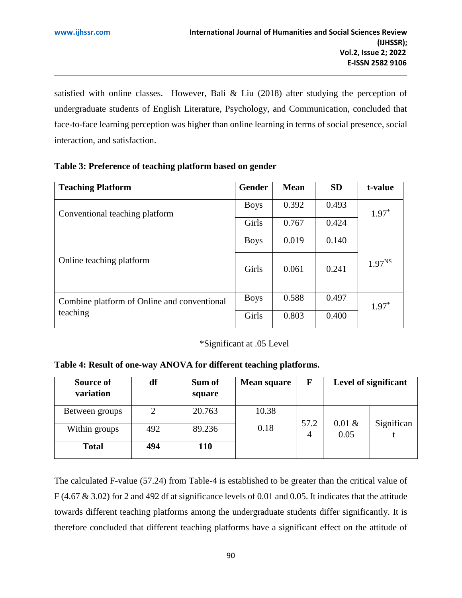satisfied with online classes. However, Bali & Liu (2018) after studying the perception of undergraduate students of English Literature, Psychology, and Communication, concluded that face-to-face learning perception was higher than online learning in terms of social presence, social interaction, and satisfaction.

| <b>Teaching Platform</b>                    | <b>Gender</b> | <b>Mean</b> | <b>SD</b> | t-value     |
|---------------------------------------------|---------------|-------------|-----------|-------------|
| Conventional teaching platform              | <b>Boys</b>   | 0.392       | 0.493     | $1.97*$     |
|                                             | Girls         | 0.767       | 0.424     |             |
|                                             | <b>Boys</b>   | 0.019       | 0.140     |             |
| Online teaching platform                    | Girls         | 0.061       | 0.241     | $1.97^{NS}$ |
| Combine platform of Online and conventional | <b>Boys</b>   | 0.588       | 0.497     | $1.97*$     |
| teaching                                    | Girls         | 0.803       | 0.400     |             |

**Table 3: Preference of teaching platform based on gender**

# \*Significant at .05 Level

# **Table 4: Result of one-way ANOVA for different teaching platforms.**

| Source of      | df  | Sum of | <b>Mean square</b> | F    |                   | Level of significant |
|----------------|-----|--------|--------------------|------|-------------------|----------------------|
| variation      |     | square |                    |      |                   |                      |
| Between groups | 2   | 20.763 | 10.38              | 57.2 |                   |                      |
| Within groups  | 492 | 89.236 | 0.18               | 4    | $0.01 \&$<br>0.05 | Significan           |
| <b>Total</b>   | 494 | 110    |                    |      |                   |                      |

The calculated F-value (57.24) from Table-4 is established to be greater than the critical value of F (4.67 & 3.02) for 2 and 492 df at significance levels of 0.01 and 0.05. It indicates that the attitude towards different teaching platforms among the undergraduate students differ significantly. It is therefore concluded that different teaching platforms have a significant effect on the attitude of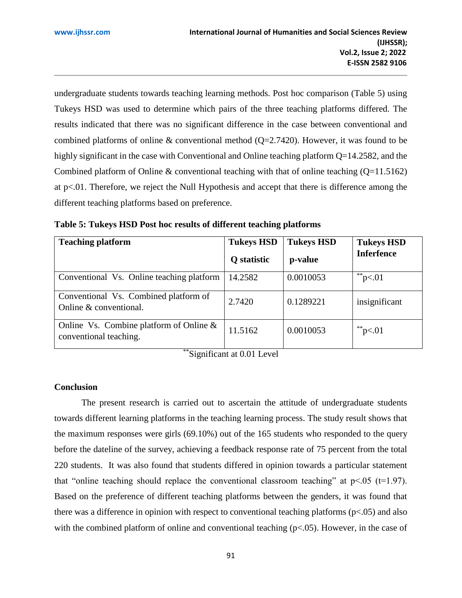undergraduate students towards teaching learning methods. Post hoc comparison (Table 5) using Tukeys HSD was used to determine which pairs of the three teaching platforms differed. The results indicated that there was no significant difference in the case between conventional and combined platforms of online  $&$  conventional method (Q=2.7420). However, it was found to be highly significant in the case with Conventional and Online teaching platform Q=14.2582, and the Combined platform of Online & conventional teaching with that of online teaching  $(Q=11.5162)$ at p<.01. Therefore, we reject the Null Hypothesis and accept that there is difference among the different teaching platforms based on preference.

| <b>Teaching platform</b>                                             | <b>Tukeys HSD</b><br>Q statistic | <b>Tukeys HSD</b><br>p-value | <b>Tukeys HSD</b><br><b>Inferfence</b> |
|----------------------------------------------------------------------|----------------------------------|------------------------------|----------------------------------------|
| Conventional Vs. Online teaching platform                            | 14.2582                          | 0.0010053                    | **p $< 01$                             |
| Conventional Vs. Combined platform of<br>Online & conventional.      | 2.7420                           | 0.1289221                    | insignificant                          |
| Online Vs. Combine platform of Online $\&$<br>conventional teaching. | 11.5162                          | 0.0010053                    | **p $< 01$                             |

**Table 5: Tukeys HSD Post hoc results of different teaching platforms**

\*\*Significant at 0.01 Level

## **Conclusion**

The present research is carried out to ascertain the attitude of undergraduate students towards different learning platforms in the teaching learning process. The study result shows that the maximum responses were girls (69.10%) out of the 165 students who responded to the query before the dateline of the survey, achieving a feedback response rate of 75 percent from the total 220 students. It was also found that students differed in opinion towards a particular statement that "online teaching should replace the conventional classroom teaching" at  $p<.05$  (t=1.97). Based on the preference of different teaching platforms between the genders, it was found that there was a difference in opinion with respect to conventional teaching platforms ( $p<0.05$ ) and also with the combined platform of online and conventional teaching ( $p<0.05$ ). However, in the case of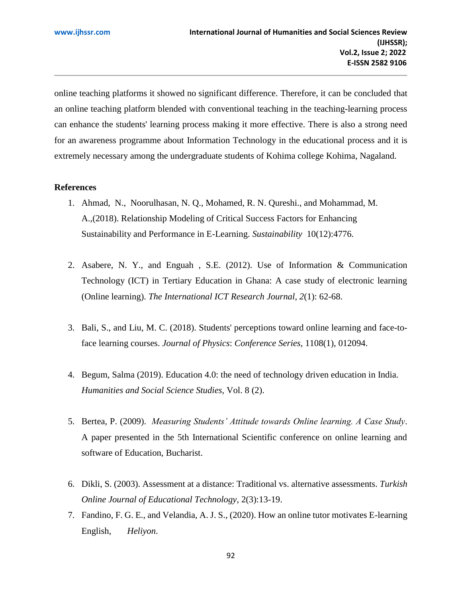online teaching platforms it showed no significant difference. Therefore, it can be concluded that an online teaching platform blended with conventional teaching in the teaching-learning process can enhance the students' learning process making it more effective. There is also a strong need for an awareness programme about Information Technology in the educational process and it is extremely necessary among the undergraduate students of Kohima college Kohima, Nagaland.

## **References**

- 1. Ahmad, N., Noorulhasan, N. Q., Mohamed, R. N. Qureshi., and Mohammad, M. A.,(2018). Relationship Modeling of Critical Success Factors for Enhancing Sustainability and Performance in E-Learning. *Sustainability* 10(12):4776.
- 2. Asabere, N. Y., and Enguah , S.E. (2012). Use of Information & Communication Technology (ICT) in Tertiary Education in Ghana: A case study of electronic learning (Online learning). *The International ICT Research Journal*, *2*(1): 62-68.
- 3. Bali, S., and Liu, M. C. (2018). Students' perceptions toward online learning and face-toface learning courses. *Journal of Physics*: *Conference Series*, 1108(1), 012094.
- 4. Begum, Salma (2019). Education 4.0: the need of technology driven education in India. *Humanities and Social Science Studies,* Vol. 8 (2).
- 5. Bertea, P. (2009). *Measuring Students' Attitude towards Online learning. A Case Study*. A paper presented in the 5th International Scientific conference on online learning and software of Education, Bucharist.
- 6. Dikli, S. (2003). Assessment at a distance: Traditional vs. alternative assessments. *Turkish Online Journal of Educational Technology*, 2(3):13-19.
- 7. Fandino, F. G. E., and Velandia, A. J. S., (2020). How an online tutor motivates E-learning English, *Heliyon*.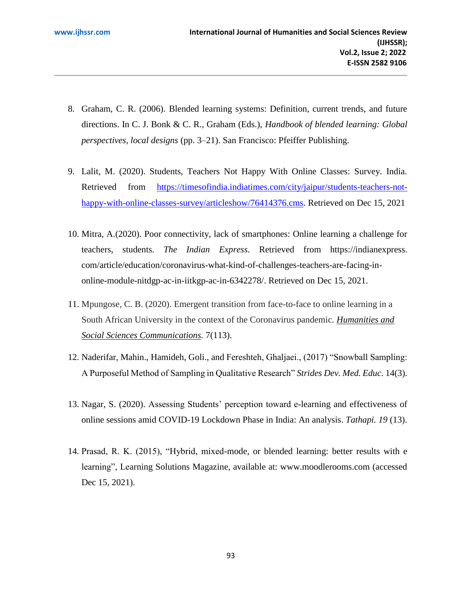- 8. Graham, C. R. (2006). Blended learning systems: Definition, current trends, and future directions. In C. J. Bonk & C. R., Graham (Eds.), *Handbook of blended learning: Global perspectives, local designs* (pp. 3–21). San Francisco: Pfeiffer Publishing.
- 9. Lalit, M. (2020). Students, Teachers Not Happy With Online Classes: Survey. India. Retrieved from [https://timesofindia.indiatimes.com/city/jaipur/students-teachers-not](https://timesofindia.indiatimes.com/city/jaipur/students-teachers-not-happy-with-online-classes-survey/articleshow/76414376.cms)[happy-with-online-classes-survey/articleshow/76414376.cms.](https://timesofindia.indiatimes.com/city/jaipur/students-teachers-not-happy-with-online-classes-survey/articleshow/76414376.cms) Retrieved on Dec 15, 2021
- 10. Mitra, A.(2020). Poor connectivity, lack of smartphones: Online learning a challenge for teachers, students. *The Indian Express*. Retrieved from https://indianexpress. com/article/education/coronavirus-what-kind-of-challenges-teachers-are-facing-inonline-module-nitdgp-ac-in-iitkgp-ac-in-6342278/. Retrieved on Dec 15, 2021.
- 11. Mpungose, C. B. (2020). Emergent transition from face-to-face to online learning in a South African University in the context of the Coronavirus pandemic. *[Humanities and](https://www.nature.com/palcomms)  [Social Sciences Communications.](https://www.nature.com/palcomms)* 7(113).
- 12. Naderifar, Mahin., Hamideh, Goli., and Fereshteh, Ghaljaei., (2017) "Snowball Sampling: A Purposeful Method of Sampling in Qualitative Research" *Strides Dev. Med. Educ*. 14(3).
- 13. Nagar, S. (2020). Assessing Students' perception toward e-learning and effectiveness of online sessions amid COVID-19 Lockdown Phase in India: An analysis. *Tathapi. 19* (13).
- 14. Prasad, R. K. (2015), "Hybrid, mixed-mode, or blended learning: better results with e learning", Learning Solutions Magazine, available at: www.moodlerooms.com (accessed Dec 15, 2021).